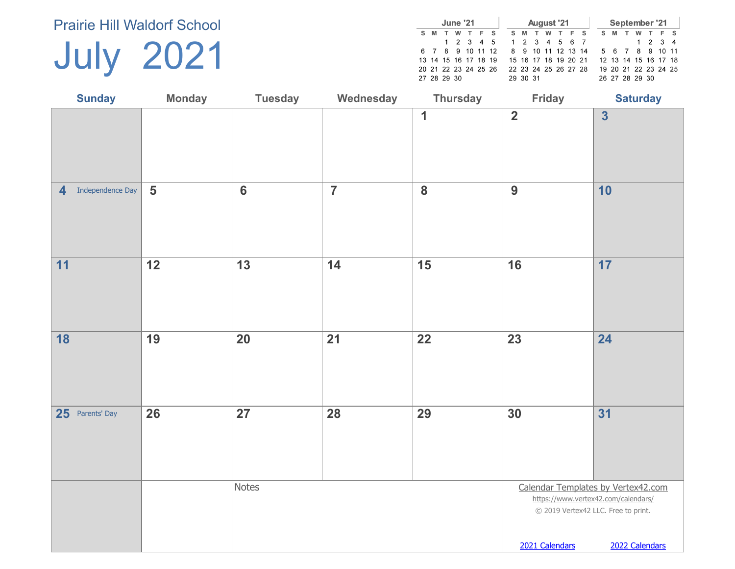July 2021

|             |   | June '21 |                      |                      |  |                      |   |   | August '21 |  |  |     | September '21        |         |     |  |
|-------------|---|----------|----------------------|----------------------|--|----------------------|---|---|------------|--|--|-----|----------------------|---------|-----|--|
| s.          | M | w        | F S                  |                      |  | S M                  | T | w | TFS        |  |  | S M | w                    |         | F S |  |
|             |   |          |                      | 1 2 3 4 5            |  | 1 2 3 4 5 6 7        |   |   |            |  |  |     |                      | 1 2 3 4 |     |  |
|             |   |          |                      | 6 7 8 9 10 11 12     |  | 8 9 10 11 12 13 14   |   |   |            |  |  |     | 5 6 7 8 9 10 11      |         |     |  |
|             |   |          | 13 14 15 16 17 18 19 |                      |  | 15 16 17 18 19 20 21 |   |   |            |  |  |     | 12 13 14 15 16 17 18 |         |     |  |
|             |   |          |                      | 20 21 22 23 24 25 26 |  | 22 23 24 25 26 27 28 |   |   |            |  |  |     | 19 20 21 22 23 24 25 |         |     |  |
| 27 28 29 30 |   |          |                      |                      |  | 29 30 31             |   |   |            |  |  |     | 26 27 28 29 30       |         |     |  |

| <b>Sunday</b>                      | <b>Monday</b>  | <b>Tuesday</b>  | Wednesday      | <b>Thursday</b>         | Friday                  | <b>Saturday</b>                                                                                                                    |
|------------------------------------|----------------|-----------------|----------------|-------------------------|-------------------------|------------------------------------------------------------------------------------------------------------------------------------|
|                                    |                |                 |                | $\mathbf 1$             | $\overline{\mathbf{2}}$ | $\overline{\mathbf{3}}$                                                                                                            |
| Independence Day<br>$\overline{4}$ | $5\phantom{1}$ | $6\phantom{a}$  | $\overline{7}$ | $\overline{\mathbf{8}}$ | 9                       | 10                                                                                                                                 |
| 11                                 | 12             | $\overline{13}$ | 14             | 15                      | 16                      | 17                                                                                                                                 |
| 18                                 | 19             | 20              | 21             | 22                      | 23                      | 24                                                                                                                                 |
| 25 Parents' Day                    | 26             | 27              | 28             | 29                      | 30                      | 31                                                                                                                                 |
|                                    |                | <b>Notes</b>    |                |                         | 2021 Calendars          | Calendar Templates by Vertex42.com<br>https://www.vertex42.com/calendars/<br>© 2019 Vertex42 LLC. Free to print.<br>2022 Calendars |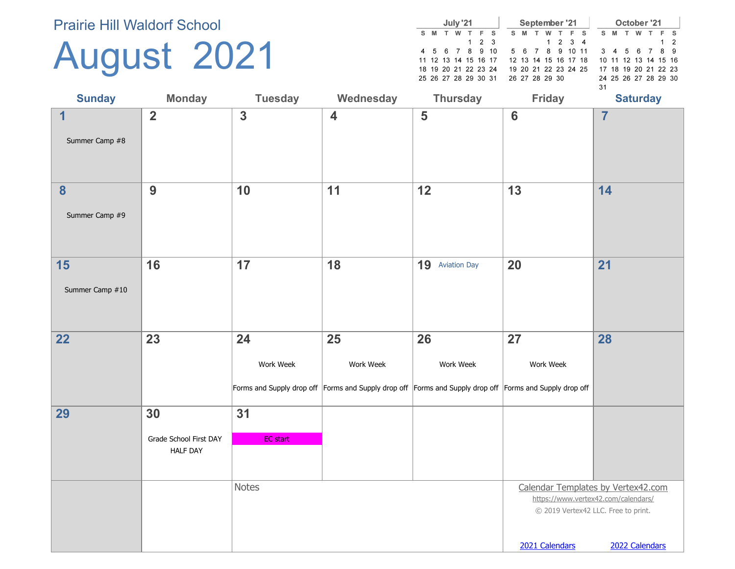## August 2021

|    |                      |   | July '21 |   |                   |  |    |   | September '21        |         |     |    |     | October '21          |  |     |
|----|----------------------|---|----------|---|-------------------|--|----|---|----------------------|---------|-----|----|-----|----------------------|--|-----|
| s. | M                    | т | w        | T | F S               |  | s. | M | w                    |         | F S | s. | - M | w                    |  | F S |
|    |                      |   |          |   | $1\quad 2\quad 3$ |  |    |   |                      | 1 2 3 4 |     |    |     |                      |  | 1 2 |
|    | 4 5 6 7 8 9 10       |   |          |   |                   |  |    |   | 5 6 7 8 9 10 11      |         |     |    |     | 3 4 5 6 7 8 9        |  |     |
|    | 11 12 13 14 15 16 17 |   |          |   |                   |  |    |   | 12 13 14 15 16 17 18 |         |     |    |     | 10 11 12 13 14 15 16 |  |     |
|    | 18 19 20 21 22 23 24 |   |          |   |                   |  |    |   | 19 20 21 22 23 24 25 |         |     |    |     | 17 18 19 20 21 22 23 |  |     |
|    | 25 26 27 28 29 30 31 |   |          |   |                   |  |    |   | 26 27 28 29 30       |         |     |    |     | 24 25 26 27 28 29 30 |  |     |
|    |                      |   |          |   |                   |  |    |   |                      |         |     | 31 |     |                      |  |     |

| <b>Sunday</b>                    | <b>Monday</b>                                   | <b>Tuesday</b>        | Wednesday               | <b>Thursday</b>                                                                                                            | <b>Friday</b>                                                                                                                      | <b>Saturday</b> |
|----------------------------------|-------------------------------------------------|-----------------------|-------------------------|----------------------------------------------------------------------------------------------------------------------------|------------------------------------------------------------------------------------------------------------------------------------|-----------------|
| $\overline{1}$<br>Summer Camp #8 | $\overline{2}$                                  | $\mathbf{3}$          | $\overline{\mathbf{4}}$ | 5                                                                                                                          | $6\phantom{1}6$                                                                                                                    | $\overline{7}$  |
| 8<br>Summer Camp #9              | 9                                               | 10                    | 11                      | 12                                                                                                                         | 13                                                                                                                                 | 14              |
| 15<br>Summer Camp #10            | 16                                              | 17                    | 18                      | 19 Aviation Day                                                                                                            | 20                                                                                                                                 | 21              |
| 22                               | 23                                              | 24<br>Work Week       | 25<br>Work Week         | 26<br>Work Week<br>Forms and Supply drop off Forms and Supply drop off Forms and Supply drop off Forms and Supply drop off | 27<br>Work Week                                                                                                                    | 28              |
| 29                               | 30<br>Grade School First DAY<br><b>HALF DAY</b> | 31<br><b>EC</b> start |                         |                                                                                                                            |                                                                                                                                    |                 |
|                                  |                                                 | <b>Notes</b>          |                         |                                                                                                                            | Calendar Templates by Vertex42.com<br>https://www.vertex42.com/calendars/<br>© 2019 Vertex42 LLC. Free to print.<br>2021 Calendars | 2022 Calendars  |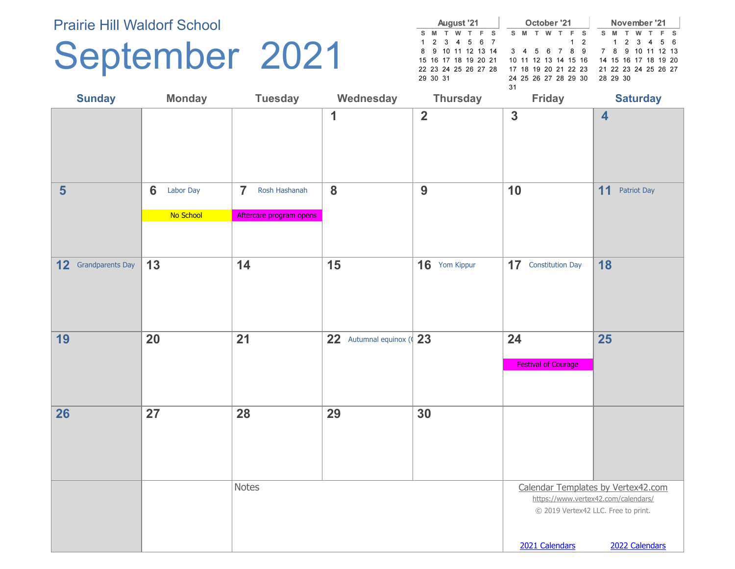## September 2021

|          |   | August '21           |  |    |                                 | October '21 |   |     |            |    |          |  | November '21         |  |
|----------|---|----------------------|--|----|---------------------------------|-------------|---|-----|------------|----|----------|--|----------------------|--|
| S M T    | w | TFS                  |  | S. | м                               |             | w | F S |            | S. | - M      |  | W T F S              |  |
|          |   | 1 2 3 4 5 6 7        |  |    |                                 |             |   |     | $1\quad 2$ |    |          |  | 1 2 3 4 5 6          |  |
|          |   | 8 9 10 11 12 13 14   |  |    | 3 4 5 6 7 8 9 7 8 9 10 11 12 13 |             |   |     |            |    |          |  |                      |  |
|          |   | 15 16 17 18 19 20 21 |  |    | 10 11 12 13 14 15 16            |             |   |     |            |    |          |  | 14 15 16 17 18 19 20 |  |
|          |   | 22 23 24 25 26 27 28 |  |    | 17 18 19 20 21 22 23            |             |   |     |            |    |          |  | 21 22 23 24 25 26 27 |  |
| 29 30 31 |   |                      |  |    | 24 25 26 27 28 29 30            |             |   |     |            |    | 28 29 30 |  |                      |  |
|          |   |                      |  | 31 |                                 |             |   |     |            |    |          |  |                      |  |

| <b>Sunday</b>              | <b>Monday</b>               | <b>Tuesday</b>                  | Wednesday               | <b>Thursday</b> | <b>Friday</b>              | <b>Saturday</b>                                                            |
|----------------------------|-----------------------------|---------------------------------|-------------------------|-----------------|----------------------------|----------------------------------------------------------------------------|
|                            |                             |                                 | $\mathbf 1$             | $\overline{2}$  | $\overline{3}$             | $\overline{\mathbf{4}}$                                                    |
| $5\phantom{1}$             | $6\phantom{1}$<br>Labor Day | $\overline{7}$<br>Rosh Hashanah | 8                       | 9               | 10                         | 11<br>Patriot Day                                                          |
|                            | No School                   | Aftercare program opens         |                         |                 |                            |                                                                            |
|                            |                             |                                 |                         |                 |                            |                                                                            |
| <b>12</b> Grandparents Day | 13                          | 14                              | 15                      | 16 Yom Kippur   | <b>17</b> Constitution Day | 18                                                                         |
|                            |                             |                                 |                         |                 |                            |                                                                            |
| 19                         | 20                          | 21                              | 22 Autumnal equinox (23 |                 | 24                         | 25                                                                         |
|                            |                             |                                 |                         |                 | <b>Festival of Courage</b> |                                                                            |
|                            |                             |                                 |                         |                 |                            |                                                                            |
| 26                         | 27                          | 28                              | 29                      | 30              |                            |                                                                            |
|                            |                             |                                 |                         |                 |                            |                                                                            |
|                            |                             |                                 |                         |                 |                            |                                                                            |
|                            |                             |                                 |                         |                 |                            |                                                                            |
|                            |                             | Notes                           |                         |                 |                            | Calendar Templates by Vertex42.com                                         |
|                            |                             |                                 |                         |                 |                            | https://www.vertex42.com/calendars/<br>© 2019 Vertex42 LLC. Free to print. |
|                            |                             |                                 |                         |                 |                            |                                                                            |
|                            |                             |                                 |                         |                 | 2021 Calendars             | 2022 Calendars                                                             |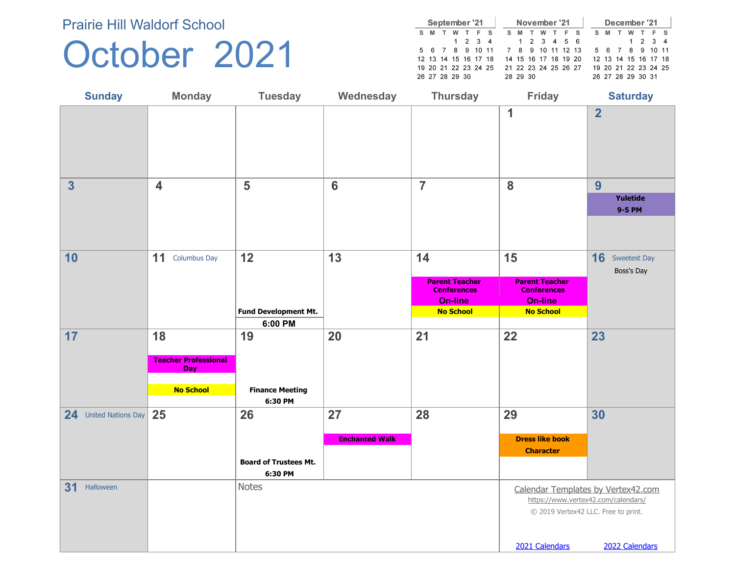#### October 2021

|   |                      | September '21 |                 |     |  |                      | November '21 |   |     |   |   | December '21         |  |     |
|---|----------------------|---------------|-----------------|-----|--|----------------------|--------------|---|-----|---|---|----------------------|--|-----|
| s | м                    |               |                 | F S |  | S M                  | w            | F | - S | s | м | w                    |  | F S |
|   |                      |               | $1 \t2 \t3 \t4$ |     |  | 1 2 3 4 5 6          |              |   |     |   |   | 1 2 3 4              |  |     |
|   | 5 6 7 8 9 10 11      |               |                 |     |  | 7 8 9 10 11 12 13    |              |   |     |   |   | 5 6 7 8 9 10 11      |  |     |
|   | 12 13 14 15 16 17 18 |               |                 |     |  | 14 15 16 17 18 19 20 |              |   |     |   |   | 12 13 14 15 16 17 18 |  |     |
|   | 19 20 21 22 23 24 25 |               |                 |     |  | 21 22 23 24 25 26 27 |              |   |     |   |   | 19 20 21 22 23 24 25 |  |     |
|   | 26 27 28 29 30       |               |                 |     |  | 28 29 30             |              |   |     |   |   | 26 27 28 29 30 31    |  |     |

| <b>Sunday</b>         | <b>Monday</b>                                                 | <b>Tuesday</b>                          | Wednesday                   | <b>Thursday</b>                                                            | <b>Friday</b>                                                              | <b>Saturday</b>                                                                                                  |
|-----------------------|---------------------------------------------------------------|-----------------------------------------|-----------------------------|----------------------------------------------------------------------------|----------------------------------------------------------------------------|------------------------------------------------------------------------------------------------------------------|
|                       |                                                               |                                         |                             |                                                                            | 1                                                                          | $\overline{2}$                                                                                                   |
| 3                     | $\overline{\mathbf{4}}$                                       | 5                                       | $6\phantom{1}6$             | $\overline{7}$                                                             | 8                                                                          | 9                                                                                                                |
|                       |                                                               |                                         |                             |                                                                            |                                                                            | Yuletide<br>9-5 PM                                                                                               |
|                       |                                                               |                                         |                             |                                                                            |                                                                            |                                                                                                                  |
| 10                    | 11<br><b>Columbus Day</b>                                     | 12                                      | 13                          | 14                                                                         | 15                                                                         | <b>16</b> Sweetest Day<br>Boss's Day                                                                             |
|                       |                                                               | Fund Development Mt.                    |                             | <b>Parent Teacher</b><br><b>Conferences</b><br>On-line<br><b>No School</b> | <b>Parent Teacher</b><br><b>Conferences</b><br>On-line<br><b>No School</b> |                                                                                                                  |
| 17                    | 18                                                            | 6:00 PM<br>19                           | 20                          | 21                                                                         | 22                                                                         | 23                                                                                                               |
|                       | <b>Teacher Professional</b><br><b>Day</b><br><b>No School</b> | <b>Finance Meeting</b>                  |                             |                                                                            |                                                                            |                                                                                                                  |
|                       |                                                               | 6:30 PM                                 |                             |                                                                            |                                                                            |                                                                                                                  |
| 24 United Nations Day | 25                                                            | 26                                      | 27<br><b>Enchanted Walk</b> | 28                                                                         | 29<br><b>Dress like book</b>                                               | 30                                                                                                               |
|                       |                                                               |                                         |                             |                                                                            | <b>Character</b>                                                           |                                                                                                                  |
|                       |                                                               | <b>Board of Trustees Mt.</b><br>6:30 PM |                             |                                                                            |                                                                            |                                                                                                                  |
| 31<br>Halloween       |                                                               | <b>Notes</b>                            |                             |                                                                            |                                                                            | Calendar Templates by Vertex42.com<br>https://www.vertex42.com/calendars/<br>© 2019 Vertex42 LLC. Free to print. |
|                       |                                                               |                                         |                             |                                                                            | 2021 Calendars                                                             | 2022 Calendars                                                                                                   |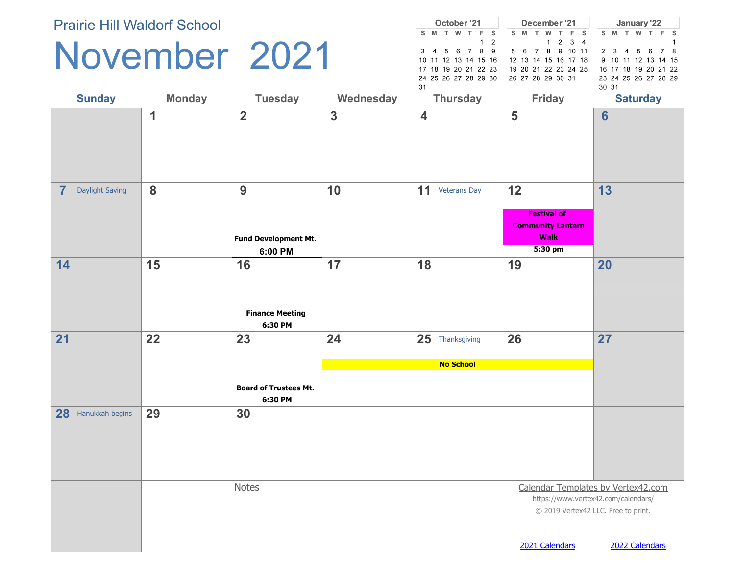### November 2021

|    |                      | October '21     |   |   |     |   |    |                | December '21         |                 |     |   |       | January '22          |   |   |     |
|----|----------------------|-----------------|---|---|-----|---|----|----------------|----------------------|-----------------|-----|---|-------|----------------------|---|---|-----|
| s. | M                    | w               | т | Е | - s | s | M  |                | w                    | F.              | - S | s | M     |                      | w | Е | - S |
|    |                      |                 |   |   | 12  |   |    |                |                      | $1 \t2 \t3 \t4$ |     |   |       |                      |   |   |     |
|    | 3 4 5 6 7 8          |                 |   |   | - 9 |   | 56 | $\overline{7}$ | 8 <sup>1</sup>       | 9. 10           | -11 |   |       | 2 3 4 5 6            |   |   | 8   |
|    | 10 11 12 13 14 15 16 |                 |   |   |     |   |    |                | 12 13 14 15 16 17 18 |                 |     |   |       | 9 10 11 12 13 14 15  |   |   |     |
|    | 17 18 19 20 21 22 23 |                 |   |   |     |   |    |                | 19 20 21 22 23 24 25 |                 |     |   |       | 16 17 18 19 20 21 22 |   |   |     |
|    | 24 25 26 27 28 29 30 |                 |   |   |     |   |    |                | 26 27 28 29 30 31    |                 |     |   |       | 23 24 25 26 27 28 29 |   |   |     |
| 31 |                      |                 |   |   |     |   |    |                |                      |                 |     |   | 30 31 |                      |   |   |     |
|    |                      | <b>Thursday</b> |   |   |     |   |    |                | <b>Friday</b>        |                 |     |   |       | <b>Saturday</b>      |   |   |     |

| <b>Sunday</b>                     | <b>Monday</b> | <b>Tuesday</b>                                | Wednesday    | <b>Thursday</b>                     | Friday                                                                                                                             | <b>Saturday</b> |
|-----------------------------------|---------------|-----------------------------------------------|--------------|-------------------------------------|------------------------------------------------------------------------------------------------------------------------------------|-----------------|
|                                   | 1             | $\overline{\mathbf{2}}$                       | $\mathbf{3}$ | $\overline{\mathbf{4}}$             | 5                                                                                                                                  | $6\phantom{a}$  |
| $\overline{7}$<br>Daylight Saving | 8             | 9<br>Fund Development Mt.<br>6:00 PM          | 10           | 11 Veterans Day                     | 12<br><b>Festival of</b><br><b>Community Lantern</b><br><b>Walk</b><br>5:30 pm                                                     | 13              |
| 14                                | 15            | 16<br><b>Finance Meeting</b><br>6:30 PM       | 17           | 18                                  | 19                                                                                                                                 | 20              |
| 21                                | 22            | 23<br><b>Board of Trustees Mt.</b><br>6:30 PM | 24           | 25 Thanksgiving<br><b>No School</b> | 26                                                                                                                                 | 27              |
| 28 Hanukkah begins                | 29            | 30                                            |              |                                     |                                                                                                                                    |                 |
|                                   |               | <b>Notes</b>                                  |              |                                     | Calendar Templates by Vertex42.com<br>https://www.vertex42.com/calendars/<br>© 2019 Vertex42 LLC. Free to print.<br>2021 Calendars | 2022 Calendars  |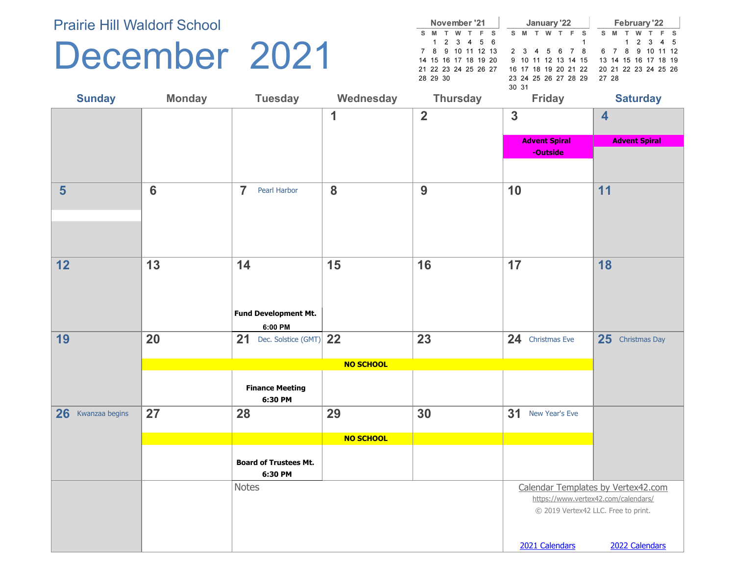#### December 2021

|   |                      | November '21 |    |     |   |                      | January '22 |   |                                          |       |   | February '22         |     |  |
|---|----------------------|--------------|----|-----|---|----------------------|-------------|---|------------------------------------------|-------|---|----------------------|-----|--|
| s | - M                  | w            | F. | - S | s | M                    | w           | F | - s                                      | s     | M | w                    | F S |  |
|   |                      | 1 2 3 4 5 6  |    |     |   |                      |             |   |                                          |       |   | 1 2 3 4 5            |     |  |
|   | 7 8 9 10 11 12 13    |              |    |     |   | 2 3 4 5 6 7          |             |   | 8 6 7 8 9 10 11 12                       |       |   |                      |     |  |
|   | 14 15 16 17 18 19 20 |              |    |     |   |                      |             |   | 9 10 11 12 13 14 15 13 14 15 16 17 18 19 |       |   |                      |     |  |
|   | 21 22 23 24 25 26 27 |              |    |     |   | 16 17 18 19 20 21 22 |             |   |                                          |       |   | 20 21 22 23 24 25 26 |     |  |
|   | 28 29 30             |              |    |     |   | 23 24 25 26 27 28 29 |             |   |                                          | 27 28 |   |                      |     |  |
|   |                      |              |    |     |   | 30 31                |             |   |                                          |       |   |                      |     |  |

| <b>Sunday</b>        | <b>Monday</b>   | <b>Tuesday</b>                          | Wednesday    | <b>Thursday</b> | <b>Friday</b>                       | <b>Saturday</b>                                                           |
|----------------------|-----------------|-----------------------------------------|--------------|-----------------|-------------------------------------|---------------------------------------------------------------------------|
|                      |                 |                                         | $\mathbf{1}$ | $\overline{2}$  | $\overline{3}$                      | $\overline{\mathbf{4}}$                                                   |
|                      |                 |                                         |              |                 | <b>Advent Spiral</b>                | <b>Advent Spiral</b>                                                      |
|                      |                 |                                         |              |                 | -Outside                            |                                                                           |
|                      |                 |                                         |              |                 |                                     |                                                                           |
| $5\phantom{1}$       | $6\phantom{1}6$ | $\overline{7}$<br>Pearl Harbor          | 8            | 9               | 10                                  | 11                                                                        |
|                      |                 |                                         |              |                 |                                     |                                                                           |
| 12                   | 13              | 14                                      | 15           | 16              | 17                                  | 18                                                                        |
|                      |                 | Fund Development Mt.<br>6:00 PM         |              |                 |                                     |                                                                           |
| 19                   | 20              | 21 Dec. Solstice (GMT) $22$             |              | 23              | 24 Christmas Eve                    | 25 Christmas Day                                                          |
|                      |                 |                                         | NO SCHOOL    |                 |                                     |                                                                           |
|                      |                 | <b>Finance Meeting</b><br>6:30 PM       |              |                 |                                     |                                                                           |
| 26<br>Kwanzaa begins | 27              | 28                                      | 29           | 30              | 31<br>New Year's Eve                |                                                                           |
|                      |                 |                                         | NO SCHOOL    |                 |                                     |                                                                           |
|                      |                 | <b>Board of Trustees Mt.</b><br>6:30 PM |              |                 |                                     |                                                                           |
|                      |                 | Notes                                   |              |                 | © 2019 Vertex42 LLC. Free to print. | Calendar Templates by Vertex42.com<br>https://www.vertex42.com/calendars/ |
|                      |                 |                                         |              |                 | 2021 Calendars                      | 2022 Calendars                                                            |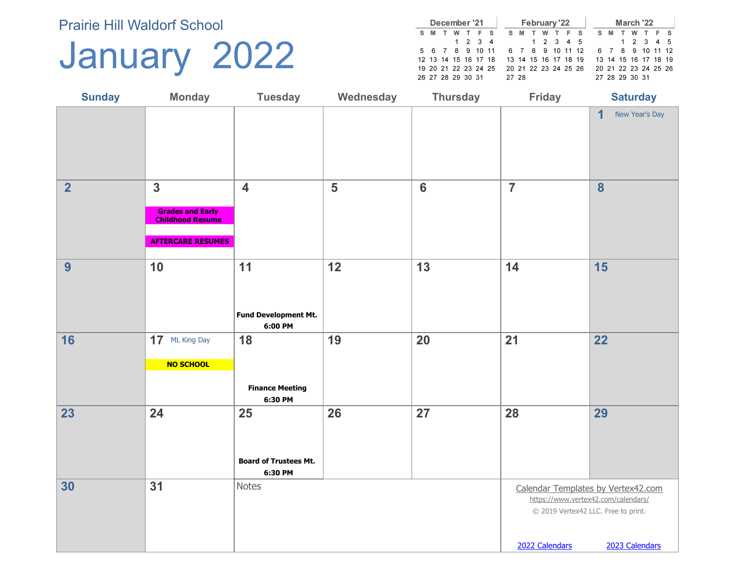### January 2022

|   |   | December '21         |         |                      |  |                      | <b>February '22</b> |     |  |  |     | March '22            |     |     |
|---|---|----------------------|---------|----------------------|--|----------------------|---------------------|-----|--|--|-----|----------------------|-----|-----|
| s | M | w                    | TFS     |                      |  | S M                  | w                   | TFS |  |  | S M |                      | W T | F S |
|   |   |                      | 1 2 3 4 |                      |  |                      | 1 2 3 4 5           |     |  |  |     | 1 2 3 4 5            |     |     |
|   |   | 5 6 7 8 9 10 11      |         |                      |  | 6 7 8 9 10 11 12     |                     |     |  |  |     | 6 7 8 9 10 11 12     |     |     |
|   |   | 12 13 14 15 16 17 18 |         |                      |  | 13 14 15 16 17 18 19 |                     |     |  |  |     | 13 14 15 16 17 18 19 |     |     |
|   |   |                      |         | 19 20 21 22 23 24 25 |  | 20 21 22 23 24 25 26 |                     |     |  |  |     | 20 21 22 23 24 25 26 |     |     |
|   |   | 26 27 28 29 30 31    |         |                      |  | 27 28                |                     |     |  |  |     | 27 28 29 30 31       |     |     |

| <b>Sunday</b>  | <b>Monday</b>                                                                                  | <b>Tuesday</b>                                | Wednesday | <b>Thursday</b> | <b>Friday</b>  | <b>Saturday</b>                                                                                                                    |
|----------------|------------------------------------------------------------------------------------------------|-----------------------------------------------|-----------|-----------------|----------------|------------------------------------------------------------------------------------------------------------------------------------|
|                |                                                                                                |                                               |           |                 |                | $\overline{1}$<br>New Year's Day                                                                                                   |
| $\overline{2}$ | $\mathbf{3}$<br><b>Grades and Early</b><br><b>Childhood Resume</b><br><b>AFTERCARE RESUMES</b> | $\overline{\mathbf{4}}$                       | 5         | $6\phantom{1}$  | $\overline{7}$ | $\boldsymbol{8}$                                                                                                                   |
| 9              | 10                                                                                             | 11<br>Fund Development Mt.<br>6:00 PM         | 12        | 13              | 14             | 15                                                                                                                                 |
| 16             | 17 ML King Day<br>NO SCHOOL                                                                    | 18<br><b>Finance Meeting</b><br>6:30 PM       | 19        | 20              | 21             | 22                                                                                                                                 |
| 23             | 24                                                                                             | 25<br><b>Board of Trustees Mt.</b><br>6:30 PM | 26        | 27              | 28             | 29                                                                                                                                 |
| 30             | 31                                                                                             | Notes                                         |           |                 | 2022 Calendars | Calendar Templates by Vertex42.com<br>https://www.vertex42.com/calendars/<br>© 2019 Vertex42 LLC. Free to print.<br>2023 Calendars |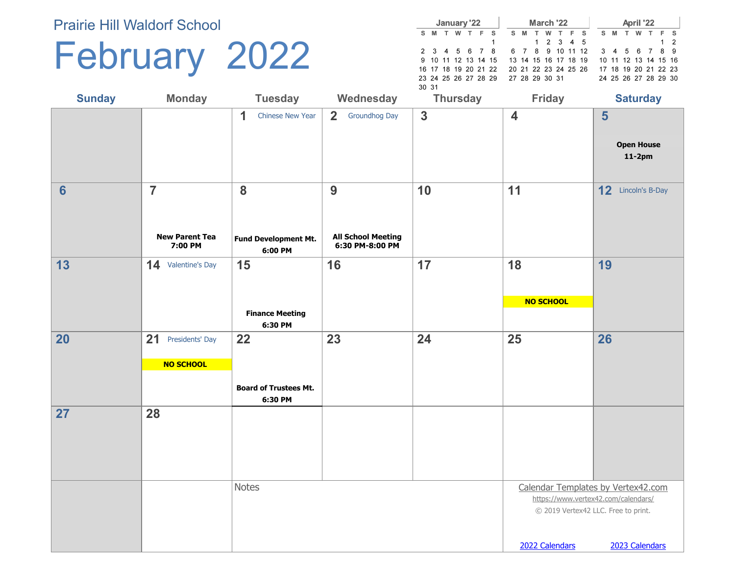## February 2022

|       |                      | January '22 |         |                     |  |     |   | March '22            |     |  |  |     |   | April '22            |       |    |
|-------|----------------------|-------------|---------|---------------------|--|-----|---|----------------------|-----|--|--|-----|---|----------------------|-------|----|
|       | S M                  |             | W T F S |                     |  | S M | T | w                    | TFS |  |  | S M | T | w                    | T F S |    |
|       |                      |             |         |                     |  |     |   | 1 2 3 4 5            |     |  |  |     |   |                      |       | 12 |
|       | 2 3 4 5 6 7 8        |             |         |                     |  |     |   | 6 7 8 9 10 11 12     |     |  |  |     |   | 3 4 5 6 7 8 9        |       |    |
|       |                      |             |         | 9 10 11 12 13 14 15 |  |     |   | 13 14 15 16 17 18 19 |     |  |  |     |   | 10 11 12 13 14 15 16 |       |    |
|       | 16 17 18 19 20 21 22 |             |         |                     |  |     |   | 20 21 22 23 24 25 26 |     |  |  |     |   | 17 18 19 20 21 22 23 |       |    |
|       | 23 24 25 26 27 28 29 |             |         |                     |  |     |   | 27 28 29 30 31       |     |  |  |     |   | 24 25 26 27 28 29 30 |       |    |
| 30 31 |                      |             |         |                     |  |     |   |                      |     |  |  |     |   |                      |       |    |

| <b>Sunday</b>   | <b>Monday</b>                                      | <b>Tuesday</b>                          | Wednesday                                         | <b>Thursday</b> | <b>Friday</b>                                         | <b>Saturday</b>                                                                             |
|-----------------|----------------------------------------------------|-----------------------------------------|---------------------------------------------------|-----------------|-------------------------------------------------------|---------------------------------------------------------------------------------------------|
|                 |                                                    | $\mathbf 1$<br>Chinese New Year         | 2 <sup>1</sup><br><b>Groundhog Day</b>            | $\overline{3}$  | $\overline{\mathbf{4}}$                               | 5<br><b>Open House</b><br>$11-2pm$                                                          |
| $6\phantom{1}6$ | $\overline{7}$<br><b>New Parent Tea</b><br>7:00 PM | 8<br>Fund Development Mt.<br>6:00 PM    | 9<br><b>All School Meeting</b><br>6:30 PM-8:00 PM | 10              | 11                                                    | 12 Lincoln's B-Day                                                                          |
| 13              | 14 Valentine's Day                                 | 15                                      | 16                                                | 17              | 18                                                    | 19                                                                                          |
|                 |                                                    | <b>Finance Meeting</b><br>6:30 PM       |                                                   |                 | <b>NO SCHOOL</b>                                      |                                                                                             |
| 20              | 21<br>Presidents' Day                              | 22                                      | 23                                                | 24              | 25                                                    | 26                                                                                          |
|                 | NO SCHOOL                                          |                                         |                                                   |                 |                                                       |                                                                                             |
|                 |                                                    | <b>Board of Trustees Mt.</b><br>6:30 PM |                                                   |                 |                                                       |                                                                                             |
| 27              | 28                                                 |                                         |                                                   |                 |                                                       |                                                                                             |
|                 |                                                    | <b>Notes</b>                            |                                                   |                 | https://www.vertex42.com/calendars/<br>2022 Calendars | Calendar Templates by Vertex42.com<br>© 2019 Vertex42 LLC. Free to print.<br>2023 Calendars |
|                 |                                                    |                                         |                                                   |                 |                                                       |                                                                                             |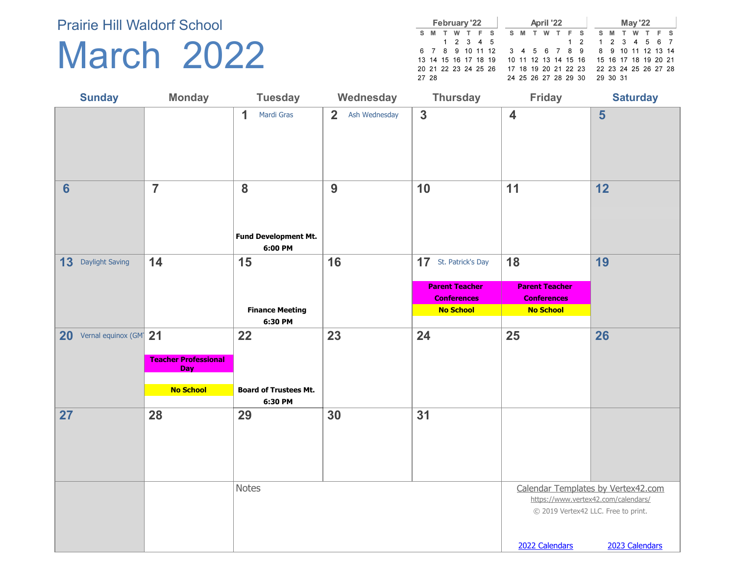### March 2022

|       |     |   |  | February '22         |                                           |  |       | April '22 |         |                                                   |  |                      | <b>May '22</b> |       |  |
|-------|-----|---|--|----------------------|-------------------------------------------|--|-------|-----------|---------|---------------------------------------------------|--|----------------------|----------------|-------|--|
|       | S M | T |  | W T F S              |                                           |  | S M T |           | W T F S |                                                   |  | S M T                | w              | T F S |  |
|       |     |   |  | 1 2 3 4 5            |                                           |  |       |           |         | $1\quad 2$                                        |  | 1 2 3 4 5 6 7        |                |       |  |
|       |     |   |  |                      |                                           |  |       |           |         | 6 7 8 9 10 11 12 3 4 5 6 7 8 9 8 9 10 11 12 13 14 |  |                      |                |       |  |
|       |     |   |  | 13 14 15 16 17 18 19 |                                           |  |       |           |         | 10 11 12 13 14 15 16 15 16 17 18 19 20 21         |  |                      |                |       |  |
|       |     |   |  |                      | 20 21 22 23 24 25 26 17 18 19 20 21 22 23 |  |       |           |         |                                                   |  | 22 23 24 25 26 27 28 |                |       |  |
| 27 28 |     |   |  |                      |                                           |  |       |           |         | 24 25 26 27 28 29 30 29 30 31                     |  |                      |                |       |  |

| <b>Sunday</b>                         | <b>Monday</b>                                                 | <b>Tuesday</b>                                | Wednesday                       | <b>Thursday</b>                                                                         | <b>Friday</b>                                                         | <b>Saturday</b>                                                                             |
|---------------------------------------|---------------------------------------------------------------|-----------------------------------------------|---------------------------------|-----------------------------------------------------------------------------------------|-----------------------------------------------------------------------|---------------------------------------------------------------------------------------------|
|                                       |                                                               | 1<br>Mardi Gras                               | $\overline{2}$<br>Ash Wednesday | $\overline{\mathbf{3}}$                                                                 | $\overline{\mathbf{4}}$                                               | 5                                                                                           |
| $6\phantom{1}6$                       | $\overline{7}$                                                | 8<br>Fund Development Mt.<br>6:00 PM          | 9                               | 10                                                                                      | 11                                                                    | 12                                                                                          |
| 13 Daylight Saving                    | 14                                                            | 15<br><b>Finance Meeting</b><br>6:30 PM       | 16                              | 17 St. Patrick's Day<br><b>Parent Teacher</b><br><b>Conferences</b><br><b>No School</b> | 18<br><b>Parent Teacher</b><br><b>Conferences</b><br><b>No School</b> | 19                                                                                          |
| 20 Vernal equinox (GM <sup>-</sup> 21 | <b>Teacher Professional</b><br><b>Day</b><br><b>No School</b> | 22<br><b>Board of Trustees Mt.</b><br>6:30 PM | 23                              | 24                                                                                      | 25                                                                    | 26                                                                                          |
| 27                                    | 28                                                            | 29                                            | 30                              | 31                                                                                      |                                                                       |                                                                                             |
|                                       |                                                               | <b>Notes</b>                                  |                                 |                                                                                         | © 2019 Vertex42 LLC. Free to print.<br>2022 Calendars                 | Calendar Templates by Vertex42.com<br>https://www.vertex42.com/calendars/<br>2023 Calendars |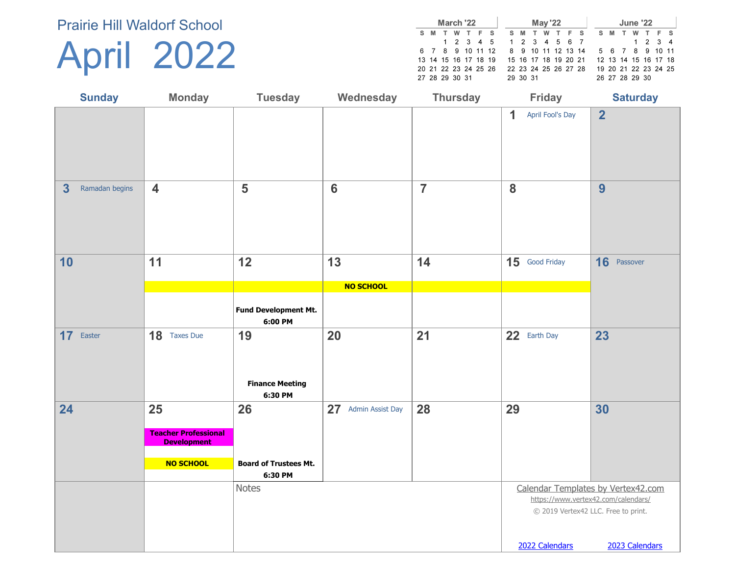## April 2022

|                      | March '22 |   |  |                         |  |                      | <b>May '22</b> |  |  |     |  | <b>June '22</b> |                      |  |
|----------------------|-----------|---|--|-------------------------|--|----------------------|----------------|--|--|-----|--|-----------------|----------------------|--|
| S M                  | . т.      | w |  | TFS SMT                 |  |                      | W T F S        |  |  | S M |  |                 | W T F S              |  |
|                      |           |   |  | 1 2 3 4 5 1 2 3 4 5 6 7 |  |                      |                |  |  |     |  |                 | 1 2 3 4              |  |
| 6 7 8 9 10 11 12     |           |   |  |                         |  | 8 9 10 11 12 13 14   |                |  |  |     |  |                 | 5 6 7 8 9 10 11      |  |
| 13 14 15 16 17 18 19 |           |   |  |                         |  | 15 16 17 18 19 20 21 |                |  |  |     |  |                 | 12 13 14 15 16 17 18 |  |
| 20 21 22 23 24 25 26 |           |   |  |                         |  | 22 23 24 25 26 27 28 |                |  |  |     |  |                 | 19 20 21 22 23 24 25 |  |
| 27 28 29 30 31       |           |   |  |                         |  | 29 30 31             |                |  |  |     |  | 26 27 28 29 30  |                      |  |

| <b>Sunday</b>             | <b>Monday</b>                                     | <b>Tuesday</b>                          | Wednesday           | <b>Thursday</b> | <b>Friday</b>                                                                               | <b>Saturday</b>                                       |
|---------------------------|---------------------------------------------------|-----------------------------------------|---------------------|-----------------|---------------------------------------------------------------------------------------------|-------------------------------------------------------|
|                           |                                                   |                                         |                     |                 | 1<br>April Fool's Day                                                                       | $\overline{2}$                                        |
| 3<br>Ramadan begins       | $\overline{\mathbf{4}}$                           | 5                                       | $6\phantom{1}6$     | $\overline{7}$  | 8                                                                                           | 9                                                     |
| 10                        | 11                                                | 12                                      | 13                  | 14              | 15 Good Friday                                                                              | 16 Passover                                           |
|                           |                                                   |                                         | <b>NO SCHOOL</b>    |                 |                                                                                             |                                                       |
|                           |                                                   | Fund Development Mt.<br>6:00 PM         |                     |                 |                                                                                             |                                                       |
| 17 <sup>2</sup><br>Easter | 18 Taxes Due                                      | 19<br><b>Finance Meeting</b><br>6:30 PM | 20                  | 21              | 22 Earth Day                                                                                | 23                                                    |
| 24                        | 25                                                | 26                                      | 27 Admin Assist Day | 28              | 29                                                                                          | 30                                                    |
|                           | <b>Teacher Professional</b><br><b>Development</b> |                                         |                     |                 |                                                                                             |                                                       |
|                           | <b>NO SCHOOL</b>                                  | <b>Board of Trustees Mt.</b><br>6:30 PM |                     |                 |                                                                                             |                                                       |
|                           |                                                   | <b>Notes</b>                            |                     |                 | Calendar Templates by Vertex42.com<br>© 2019 Vertex42 LLC. Free to print.<br>2022 Calendars | https://www.vertex42.com/calendars/<br>2023 Calendars |
|                           |                                                   |                                         |                     |                 |                                                                                             |                                                       |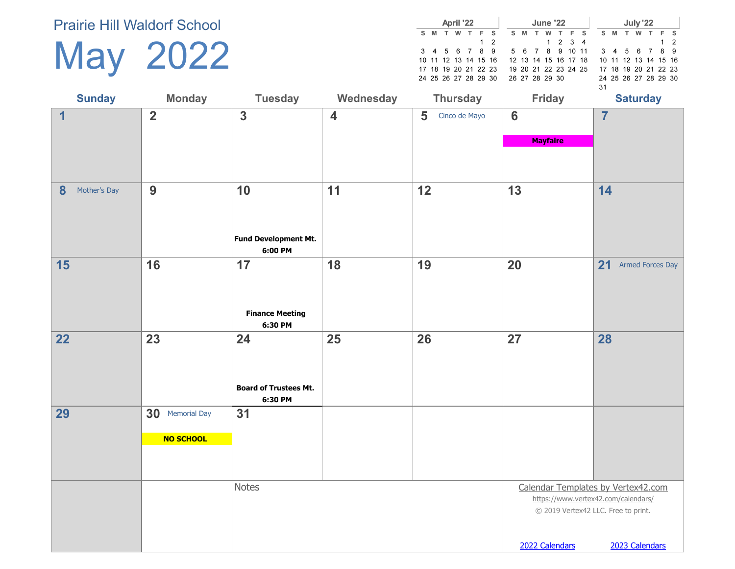| <b>May</b> | 2022 |
|------------|------|
|------------|------|

|                      |   |   | April '22 |     |     |    |     | <b>June '22</b> |                      |  |     | July '22             |       |          |
|----------------------|---|---|-----------|-----|-----|----|-----|-----------------|----------------------|--|-----|----------------------|-------|----------|
| S M                  | T | w | T         | F S |     | S. | M T |                 | W T F S              |  | S M | w                    | T F S |          |
|                      |   |   |           |     | 1 2 |    |     |                 | $1 \t2 \t3 \t4$      |  |     |                      |       | $1\quad$ |
| 3 4 5 6 7 8 9        |   |   |           |     |     |    |     |                 | 5 6 7 8 9 10 11      |  |     | 3 4 5 6 7 8 9        |       |          |
| 10 11 12 13 14 15 16 |   |   |           |     |     |    |     |                 | 12 13 14 15 16 17 18 |  |     | 10 11 12 13 14 15 16 |       |          |
| 17 18 19 20 21 22 23 |   |   |           |     |     |    |     |                 | 19 20 21 22 23 24 25 |  |     | 17 18 19 20 21 22 23 |       |          |
| 24 25 26 27 28 29 30 |   |   |           |     |     |    |     | 26 27 28 29 30  |                      |  |     | 24 25 26 27 28 29 30 |       |          |
|                      |   |   |           |     |     |    |     |                 |                      |  |     |                      |       |          |

| <b>Sunday</b>     | <b>Monday</b>   | <b>Tuesday</b>                         | Wednesday               | <b>Thursday</b>    | <b>Friday</b>                       | <b>Saturday</b>                     |
|-------------------|-----------------|----------------------------------------|-------------------------|--------------------|-------------------------------------|-------------------------------------|
| $\overline{1}$    | $\overline{2}$  | $\overline{\mathbf{3}}$                | $\overline{\mathbf{4}}$ | 5<br>Cinco de Mayo | $6\phantom{1}6$                     | $\overline{7}$                      |
|                   |                 |                                        |                         |                    | <b>Mayfaire</b>                     |                                     |
|                   |                 |                                        |                         |                    |                                     |                                     |
| 8<br>Mother's Day | 9               | 10                                     | 11                      | 12                 | 13                                  | 14                                  |
|                   |                 | <b>Fund Development Mt.</b><br>6:00 PM |                         |                    |                                     |                                     |
| 15                | 16              | 17                                     | 18                      | 19                 | 20                                  | 21<br><b>Armed Forces Day</b>       |
|                   |                 | <b>Finance Meeting</b>                 |                         |                    |                                     |                                     |
| 22                | 23              | 6:30 PM<br>24                          | 25                      | 26                 | 27                                  | 28                                  |
|                   |                 |                                        |                         |                    |                                     |                                     |
|                   |                 | <b>Board of Trustees Mt.</b>           |                         |                    |                                     |                                     |
|                   |                 | 6:30 PM                                |                         |                    |                                     |                                     |
| 29                | 30 Memorial Day | 31                                     |                         |                    |                                     |                                     |
|                   | NO SCHOOL       |                                        |                         |                    |                                     |                                     |
|                   |                 |                                        |                         |                    |                                     |                                     |
|                   |                 | Notes                                  |                         |                    |                                     | Calendar Templates by Vertex42.com  |
|                   |                 |                                        |                         |                    |                                     | https://www.vertex42.com/calendars/ |
|                   |                 |                                        |                         |                    | © 2019 Vertex42 LLC. Free to print. |                                     |
|                   |                 |                                        |                         |                    |                                     |                                     |
|                   |                 |                                        |                         |                    | 2022 Calendars                      | 2023 Calendars                      |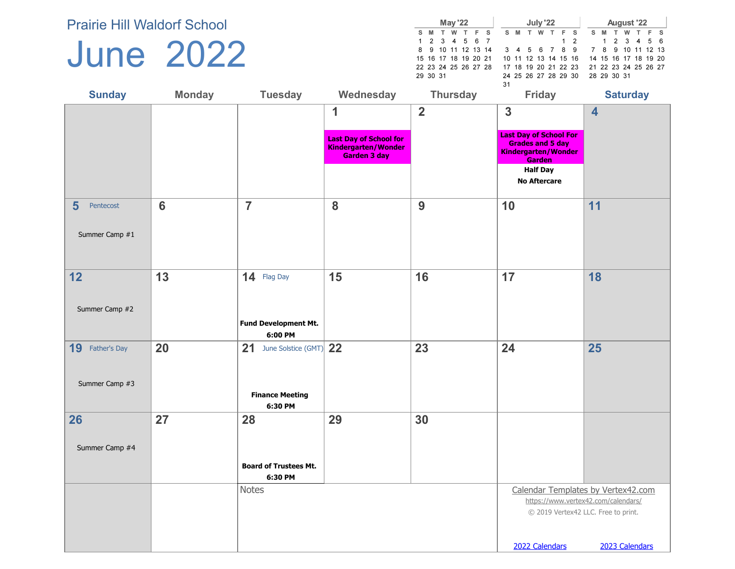#### June 2022

|               | irie Hill Waldorf School |                |                                                                 | <b>May '22</b>                                                                                                               | July '22                                                                                                                  | August '22                                                                                                          |
|---------------|--------------------------|----------------|-----------------------------------------------------------------|------------------------------------------------------------------------------------------------------------------------------|---------------------------------------------------------------------------------------------------------------------------|---------------------------------------------------------------------------------------------------------------------|
|               | une 2022                 |                |                                                                 | T W<br>E.<br>S M<br>s<br>5 6 7<br>2 3 4<br>9 10 11 12 13 14<br>8<br>15 16 17 18 19 20 21<br>22 23 24 25 26 27 28<br>29 30 31 | S M<br>$1\quad 2$<br>$3\quad 4$<br>-8<br>-9<br>56<br>10 11 12 13 14 15 16<br>17 18 19 20 21 22 23<br>24 25 26 27 28 29 30 | w<br>S M<br>-3<br>56<br>4<br>10 11 12 13<br>7 8<br>9<br>14 15 16 17 18 19 20<br>21 22 23 24 25 26 27<br>28 29 30 31 |
| <b>Sunday</b> | <b>Monday</b>            | <b>Tuesday</b> | Wednesday                                                       | <b>Thursday</b>                                                                                                              | 31<br><b>Friday</b>                                                                                                       | <b>Saturday</b>                                                                                                     |
|               |                          |                |                                                                 | $\overline{\mathbf{2}}$                                                                                                      | 3                                                                                                                         | 4                                                                                                                   |
|               |                          |                | <b>Last Day of School for</b><br><b>Minderson</b> bon Blitander |                                                                                                                              | <b>Last Day of School For</b><br><b>Grades and 5 day</b>                                                                  |                                                                                                                     |

|                                               |                |                                         | U.<br><b>Last Day of School for</b><br>Kindergarten/Wonder<br>Garden 3 day | $\blacktriangle$ | P<br><b>Last Day of School For</b><br><b>Grades and 5 day</b><br>Kindergarten/Wonder<br>Garden<br><b>Half Day</b><br><b>No Aftercare</b> | 4                                                                         |
|-----------------------------------------------|----------------|-----------------------------------------|----------------------------------------------------------------------------|------------------|------------------------------------------------------------------------------------------------------------------------------------------|---------------------------------------------------------------------------|
|                                               |                |                                         |                                                                            |                  |                                                                                                                                          |                                                                           |
| $5\phantom{1}$<br>Pentecost<br>Summer Camp #1 | $6\phantom{1}$ | $\overline{7}$                          | 8                                                                          | 9                | 10                                                                                                                                       | 11                                                                        |
| 12                                            | 13             | 14 Flag Day                             | 15                                                                         | 16               | 17                                                                                                                                       | 18                                                                        |
| Summer Camp #2                                |                | <b>Fund Development Mt.</b><br>6:00 PM  |                                                                            |                  |                                                                                                                                          |                                                                           |
| 19 Father's Day                               | 20             | 21 June Solstice (GMT) 22               |                                                                            | 23               | 24                                                                                                                                       | 25                                                                        |
| Summer Camp #3                                |                | <b>Finance Meeting</b><br>6:30 PM       |                                                                            |                  |                                                                                                                                          |                                                                           |
| 26                                            | 27             | 28                                      | 29                                                                         | 30               |                                                                                                                                          |                                                                           |
| Summer Camp #4                                |                |                                         |                                                                            |                  |                                                                                                                                          |                                                                           |
|                                               |                | <b>Board of Trustees Mt.</b><br>6:30 PM |                                                                            |                  |                                                                                                                                          |                                                                           |
|                                               |                | <b>Notes</b>                            |                                                                            |                  | © 2019 Vertex42 LLC. Free to print.                                                                                                      | Calendar Templates by Vertex42.com<br>https://www.vertex42.com/calendars/ |
|                                               |                |                                         |                                                                            |                  | 2022 Calendars                                                                                                                           | 2023 Calendars                                                            |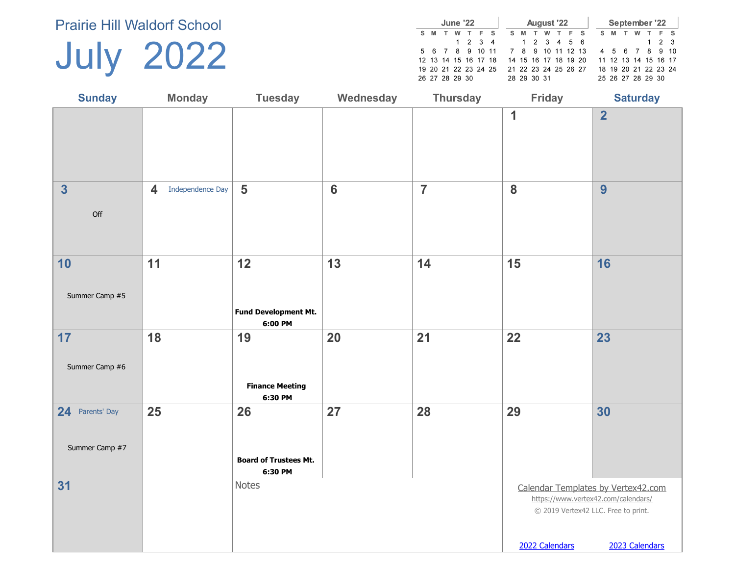July 2022

| June '22 |   |  |                |  |                      | August '22 |   |                      |    |   |  | September '22 |  |   |                      |  |   |  |       |     |
|----------|---|--|----------------|--|----------------------|------------|---|----------------------|----|---|--|---------------|--|---|----------------------|--|---|--|-------|-----|
| s.       | м |  | w              |  |                      | F S        | s | м                    | т. | w |  | F S           |  | s | M                    |  | w |  |       | F S |
|          |   |  |                |  | $1 \t2 \t3 \t4$      |            |   | 1 2 3 4 5 6          |    |   |  |               |  |   |                      |  |   |  | 1 2 3 |     |
|          |   |  |                |  | 5 6 7 8 9 10         | - 11       |   | 7 8 9 10 11 12 13    |    |   |  |               |  |   | 4 5 6 7 8 9 10       |  |   |  |       |     |
|          |   |  |                |  | 12 13 14 15 16 17 18 |            |   | 14 15 16 17 18 19 20 |    |   |  |               |  |   | 11 12 13 14 15 16 17 |  |   |  |       |     |
|          |   |  |                |  | 19 20 21 22 23 24 25 |            |   | 21 22 23 24 25 26 27 |    |   |  |               |  |   | 18 19 20 21 22 23 24 |  |   |  |       |     |
|          |   |  | 26 27 28 29 30 |  |                      |            |   | 28 29 30 31          |    |   |  |               |  |   | 25 26 27 28 29 30    |  |   |  |       |     |

| <b>Sunday</b>                     | <b>Monday</b>                               | <b>Tuesday</b>                                | Wednesday      | <b>Thursday</b> | <b>Friday</b>                                                                                                                      | <b>Saturday</b> |
|-----------------------------------|---------------------------------------------|-----------------------------------------------|----------------|-----------------|------------------------------------------------------------------------------------------------------------------------------------|-----------------|
|                                   |                                             |                                               |                |                 | 1                                                                                                                                  | $\overline{2}$  |
| $\overline{\mathbf{3}}$<br>Off    | Independence Day<br>$\overline{\mathbf{4}}$ | $5\phantom{1}$                                | $6\phantom{a}$ | $\overline{7}$  | 8                                                                                                                                  | 9               |
| 10<br>Summer Camp #5              | 11                                          | 12<br>Fund Development Mt.<br>6:00 PM         | 13             | 14              | 15                                                                                                                                 | 16              |
| 17<br>Summer Camp #6              | 18                                          | 19<br><b>Finance Meeting</b><br>6:30 PM       | 20             | 21              | 22                                                                                                                                 | 23              |
| 24 Parents' Day<br>Summer Camp #7 | 25                                          | 26<br><b>Board of Trustees Mt.</b><br>6:30 PM | 27             | 28              | 29                                                                                                                                 | 30              |
| 31                                |                                             | Notes                                         |                |                 | Calendar Templates by Vertex42.com<br>https://www.vertex42.com/calendars/<br>© 2019 Vertex42 LLC. Free to print.<br>2022 Calendars | 2023 Calendars  |